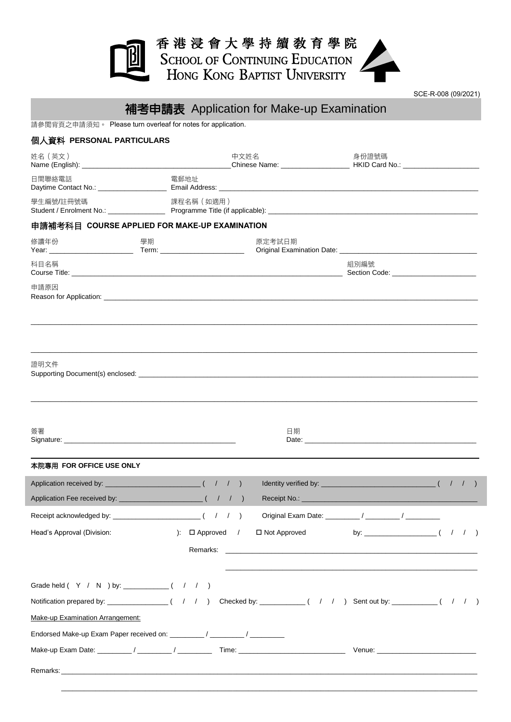

SCE-R-008 (09/2021)

|                                                                                                                 | 補考申請表 Application for Make-up Examination |                     |                                                                                                                                                                                                                                |  |  |
|-----------------------------------------------------------------------------------------------------------------|-------------------------------------------|---------------------|--------------------------------------------------------------------------------------------------------------------------------------------------------------------------------------------------------------------------------|--|--|
| 請參閱背頁之申請須知。 Please turn overleaf for notes for application.                                                     |                                           |                     |                                                                                                                                                                                                                                |  |  |
| 個人資料 PERSONAL PARTICULARS                                                                                       |                                           |                     |                                                                                                                                                                                                                                |  |  |
| 姓名(英文)                                                                                                          | 中文姓名                                      |                     | 身份證號碼                                                                                                                                                                                                                          |  |  |
| 日間聯絡電話                                                                                                          | 電郵地址                                      |                     |                                                                                                                                                                                                                                |  |  |
| 學生編號/註冊號碼                                                                                                       | 課程名稱 (如適用)                                |                     |                                                                                                                                                                                                                                |  |  |
| 申請補考科目 COURSE APPLIED FOR MAKE-UP EXAMINATION                                                                   |                                           |                     |                                                                                                                                                                                                                                |  |  |
| 修讀年份<br>學期                                                                                                      |                                           | 原定考試日期              |                                                                                                                                                                                                                                |  |  |
| 科目名稱                                                                                                            |                                           |                     | 組別編號                                                                                                                                                                                                                           |  |  |
| 申請原因                                                                                                            |                                           |                     |                                                                                                                                                                                                                                |  |  |
| 證明文件                                                                                                            |                                           |                     |                                                                                                                                                                                                                                |  |  |
| 簽署                                                                                                              |                                           | 日期                  | Date: Note: 2008 and 2008 and 2008 and 2008 and 2008 and 2008 and 2008 and 2008 and 2008 and 2008 and 2008 and 2008 and 2008 and 2008 and 2008 and 2008 and 2008 and 2008 and 2008 and 2008 and 2008 and 2008 and 2008 and 200 |  |  |
| 本院專用 FOR OFFICE USE ONLY                                                                                        |                                           |                     |                                                                                                                                                                                                                                |  |  |
| Application received by: _                                                                                      | ( / / ) Identity verified by:             |                     | $\begin{pmatrix} 1 & 1 \\ 1 & 1 \end{pmatrix}$                                                                                                                                                                                 |  |  |
|                                                                                                                 |                                           |                     |                                                                                                                                                                                                                                |  |  |
| Receipt acknowledged by: $\frac{1}{2}$ $($ $/$ $/$ $)$                                                          |                                           |                     |                                                                                                                                                                                                                                |  |  |
| Head's Approval (Division:                                                                                      | $\Gamma$ $\Box$ Approved /                | $\Box$ Not Approved |                                                                                                                                                                                                                                |  |  |
|                                                                                                                 |                                           |                     |                                                                                                                                                                                                                                |  |  |
|                                                                                                                 |                                           |                     |                                                                                                                                                                                                                                |  |  |
| Notification prepared by: _________________( / / ) Checked by: __________( / / ) Sent out by: __________( / / ) |                                           |                     |                                                                                                                                                                                                                                |  |  |
| Make-up Examination Arrangement:                                                                                |                                           |                     |                                                                                                                                                                                                                                |  |  |
| Endorsed Make-up Exam Paper received on: ________/ _______/ _______/                                            |                                           |                     |                                                                                                                                                                                                                                |  |  |
|                                                                                                                 |                                           |                     |                                                                                                                                                                                                                                |  |  |
|                                                                                                                 |                                           |                     |                                                                                                                                                                                                                                |  |  |